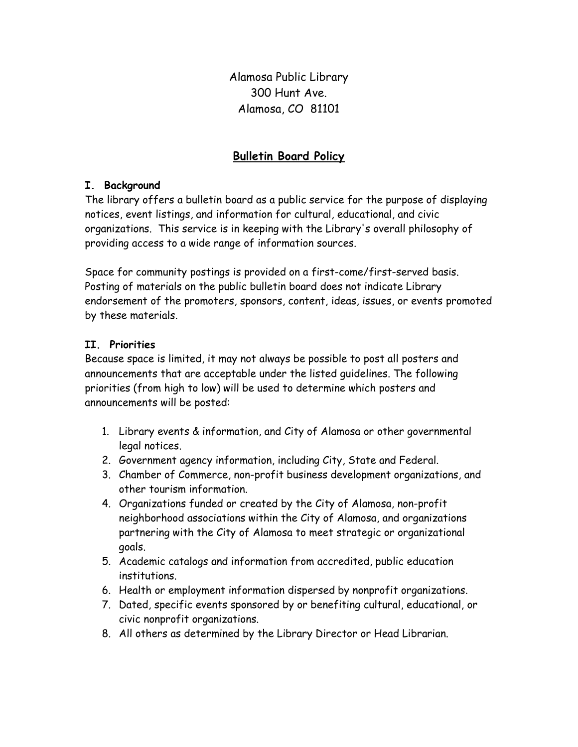Alamosa Public Library 300 Hunt Ave. Alamosa, CO 81101

## Bulletin Board Policy

## I. Background

The library offers a bulletin board as a public service for the purpose of displaying notices, event listings, and information for cultural, educational, and civic organizations. This service is in keeping with the Library's overall philosophy of providing access to a wide range of information sources.

Space for community postings is provided on a first-come/first-served basis. Posting of materials on the public bulletin board does not indicate Library endorsement of the promoters, sponsors, content, ideas, issues, or events promoted by these materials.

## II. Priorities

Because space is limited, it may not always be possible to post all posters and announcements that are acceptable under the listed guidelines. The following priorities (from high to low) will be used to determine which posters and announcements will be posted:

- 1. Library events & information, and City of Alamosa or other governmental legal notices.
- 2. Government agency information, including City, State and Federal.
- 3. Chamber of Commerce, non-profit business development organizations, and other tourism information.
- 4. Organizations funded or created by the City of Alamosa, non-profit neighborhood associations within the City of Alamosa, and organizations partnering with the City of Alamosa to meet strategic or organizational goals.
- 5. Academic catalogs and information from accredited, public education institutions.
- 6. Health or employment information dispersed by nonprofit organizations.
- 7. Dated, specific events sponsored by or benefiting cultural, educational, or civic nonprofit organizations.
- 8. All others as determined by the Library Director or Head Librarian.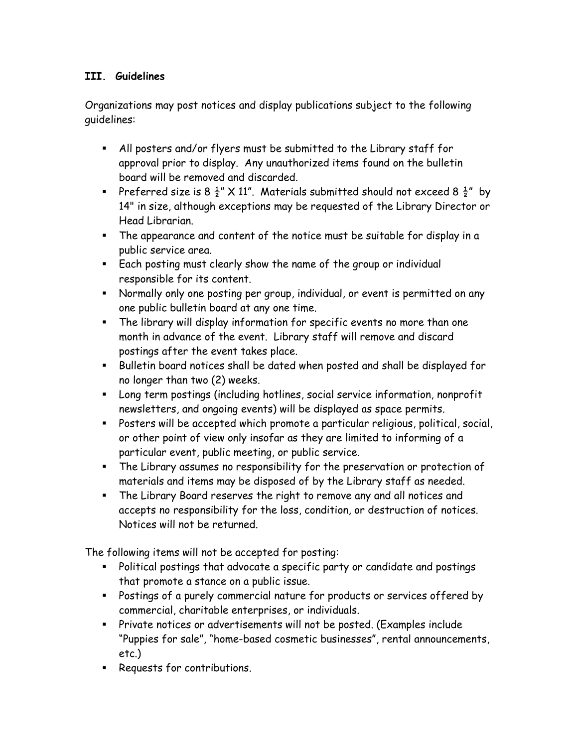## III. Guidelines

Organizations may post notices and display publications subject to the following guidelines:

- All posters and/or flyers must be submitted to the Library staff for approval prior to display. Any unauthorized items found on the bulletin board will be removed and discarded.
- Preferred size is 8  $\frac{1}{2}$ " X 11". Materials submitted should not exceed 8  $\frac{1}{2}$ " by 14" in size, although exceptions may be requested of the Library Director or Head Librarian.
- The appearance and content of the notice must be suitable for display in a public service area.
- Each posting must clearly show the name of the group or individual responsible for its content.
- Normally only one posting per group, individual, or event is permitted on any one public bulletin board at any one time.
- The library will display information for specific events no more than one month in advance of the event. Library staff will remove and discard postings after the event takes place.
- Bulletin board notices shall be dated when posted and shall be displayed for no longer than two (2) weeks.
- Long term postings (including hotlines, social service information, nonprofit newsletters, and ongoing events) will be displayed as space permits.
- Posters will be accepted which promote a particular religious, political, social, or other point of view only insofar as they are limited to informing of a particular event, public meeting, or public service.
- The Library assumes no responsibility for the preservation or protection of materials and items may be disposed of by the Library staff as needed.
- The Library Board reserves the right to remove any and all notices and accepts no responsibility for the loss, condition, or destruction of notices. Notices will not be returned.

The following items will not be accepted for posting:

- Political postings that advocate a specific party or candidate and postings that promote a stance on a public issue.
- Postings of a purely commercial nature for products or services offered by commercial, charitable enterprises, or individuals.
- Private notices or advertisements will not be posted. (Examples include "Puppies for sale", "home-based cosmetic businesses", rental announcements, etc.)
- **Requests for contributions.**